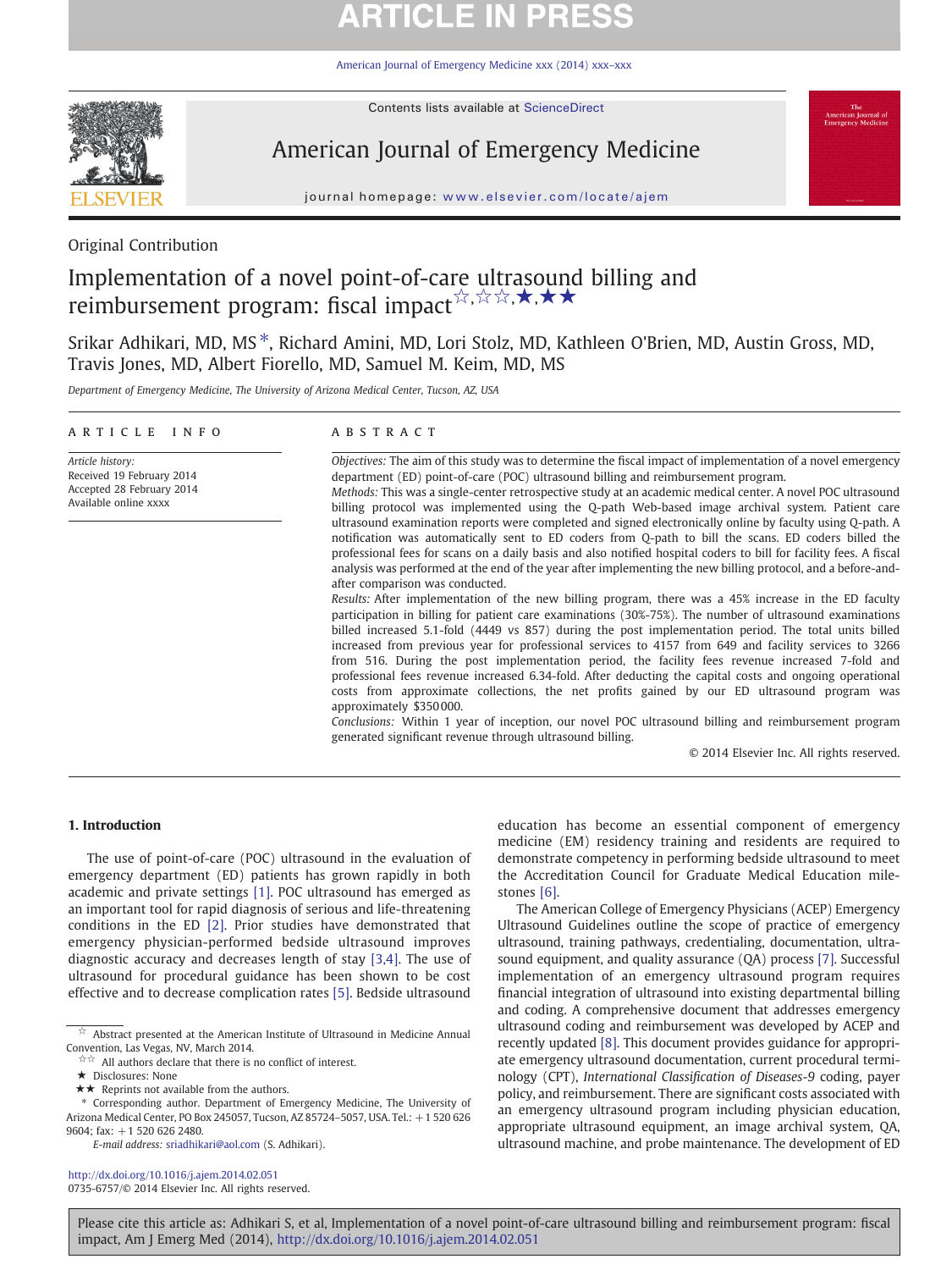# **ARTICLE IN PRES**

[American Journal of Emergency Medicine xxx \(2014\) xxx](http://dx.doi.org/10.1016/j.ajem.2014.02.051)–xxx



Contents lists available at ScienceDirect

## American Journal of Emergency Medicine

journal homepage: www.elsevier.com/locate/ajem

Original Contribution

## Implementation of a novel point-of-care ultrasound billing and reimbursement program: fiscal impact☆,☆☆☆,★,★★

Srikar Adhikari, MD, MS<sup>\*</sup>, Richard Amini, MD, Lori Stolz, MD, Kathleen O'Brien, MD, Austin Gross, MD, Travis Jones, MD, Albert Fiorello, MD, Samuel M. Keim, MD, MS

Department of Emergency Medicine, The University of Arizona Medical Center, Tucson, AZ, USA

### article info abstract

Article history: Received 19 February 2014 Accepted 28 February 2014 Available online xxxx

Objectives: The aim of this study was to determine the fiscal impact of implementation of a novel emergency department (ED) point-of-care (POC) ultrasound billing and reimbursement program. Methods: This was a single-center retrospective study at an academic medical center. A novel POC ultrasound billing protocol was implemented using the Q-path Web-based image archival system. Patient care ultrasound examination reports were completed and signed electronically online by faculty using Q-path. A notification was automatically sent to ED coders from Q-path to bill the scans. ED coders billed the professional fees for scans on a daily basis and also notified hospital coders to bill for facility fees. A fiscal analysis was performed at the end of the year after implementing the new billing protocol, and a before-and-

after comparison was conducted. Results: After implementation of the new billing program, there was a 45% increase in the ED faculty participation in billing for patient care examinations (30%-75%). The number of ultrasound examinations billed increased 5.1-fold (4449 vs 857) during the post implementation period. The total units billed increased from previous year for professional services to 4157 from 649 and facility services to 3266 from 516. During the post implementation period, the facility fees revenue increased 7-fold and professional fees revenue increased 6.34-fold. After deducting the capital costs and ongoing operational costs from approximate collections, the net profits gained by our ED ultrasound program was approximately \$350 000.

Conclusions: Within 1 year of inception, our novel POC ultrasound billing and reimbursement program generated significant revenue through ultrasound billing.

© 2014 Elsevier Inc. All rights reserved.

### 1. Introduction

The use of point-of-care (POC) ultrasound in the evaluation of emergency department (ED) patients has grown rapidly in both academic and private settings [\[1\].](#page-3-0) POC ultrasound has emerged as an important tool for rapid diagnosis of serious and life-threatening conditions in the ED [\[2\].](#page-3-0) Prior studies have demonstrated that emergency physician-performed bedside ultrasound improves diagnostic accuracy and decreases length of stay [\[3,4\]](#page-3-0). The use of ultrasound for procedural guidance has been shown to be cost effective and to decrease complication rates [\[5\]](#page-3-0). Bedside ultrasound

E-mail address: [sriadhikari@aol.com](mailto:sriadhikari@aol.com) (S. Adhikari).

<http://dx.doi.org/10.1016/j.ajem.2014.02.051> [0735-6757/© 2014 Elsevier Inc. All rights reserved.](http://dx.doi.org/10.1016/j.ajem.2014.02.051) education has become an essential component of emergency medicine (EM) residency training and residents are required to demonstrate competency in performing bedside ultrasound to meet the Accreditation Council for Graduate Medical Education milestones [\[6\]](#page-3-0).

The American College of Emergency Physicians (ACEP) Emergency Ultrasound Guidelines outline the scope of practice of emergency ultrasound, training pathways, credentialing, documentation, ultrasound equipment, and quality assurance (QA) process [\[7\]](#page-3-0). Successful implementation of an emergency ultrasound program requires financial integration of ultrasound into existing departmental billing and coding. A comprehensive document that addresses emergency ultrasound coding and reimbursement was developed by ACEP and recently updated [\[8\].](#page-3-0) This document provides guidance for appropriate emergency ultrasound documentation, current procedural terminology (CPT), International Classification of Diseases-9 coding, payer policy, and reimbursement. There are significant costs associated with an emergency ultrasound program including physician education, appropriate ultrasound equipment, an image archival system, QA, ultrasound machine, and probe maintenance. The development of ED

Please cite this article as: Adhikari S, et al, Implementation of a novel point-of-care ultrasound billing and reimbursement program: fiscal impact, Am J Emerg Med (2014), <http://dx.doi.org/10.1016/j.ajem.2014.02.051>

Abstract presented at the American Institute of Ultrasound in Medicine Annual Convention, Las Vegas, NV, March 2014.

<sup>☆☆</sup> All authors declare that there is no conflict of interest.

<sup>★</sup> Disclosures: None

<sup>★★</sup> Reprints not available from the authors.

<sup>⁎</sup> Corresponding author. Department of Emergency Medicine, The University of Arizona Medical Center, PO Box 245057, Tucson, AZ 85724–5057, USA. Tel.: +1 520 626 9604; fax: +1 520 626 2480.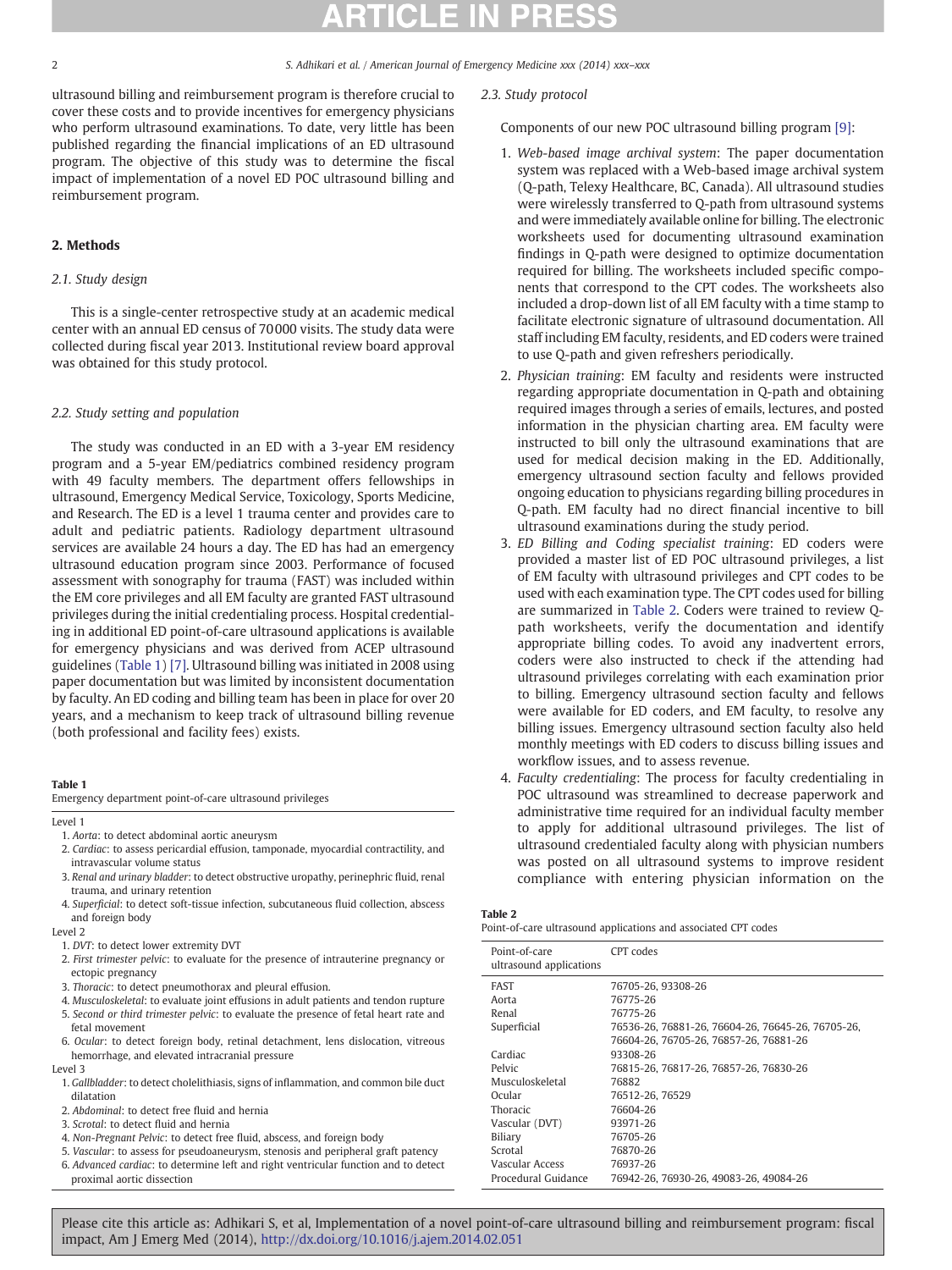2 S. Adhikari et al. / American Journal of Emergency Medicine xxx (2014) xxx–xxx

ultrasound billing and reimbursement program is therefore crucial to cover these costs and to provide incentives for emergency physicians who perform ultrasound examinations. To date, very little has been published regarding the financial implications of an ED ultrasound program. The objective of this study was to determine the fiscal impact of implementation of a novel ED POC ultrasound billing and reimbursement program.

### 2. Methods

### 2.1. Study design

This is a single-center retrospective study at an academic medical center with an annual ED census of 70 000 visits. The study data were collected during fiscal year 2013. Institutional review board approval was obtained for this study protocol.

### 2.2. Study setting and population

The study was conducted in an ED with a 3-year EM residency program and a 5-year EM/pediatrics combined residency program with 49 faculty members. The department offers fellowships in ultrasound, Emergency Medical Service, Toxicology, Sports Medicine, and Research. The ED is a level 1 trauma center and provides care to adult and pediatric patients. Radiology department ultrasound services are available 24 hours a day. The ED has had an emergency ultrasound education program since 2003. Performance of focused assessment with sonography for trauma (FAST) was included within the EM core privileges and all EM faculty are granted FAST ultrasound privileges during the initial credentialing process. Hospital credentialing in additional ED point-of-care ultrasound applications is available for emergency physicians and was derived from ACEP ultrasound guidelines (Table 1) [\[7\]](#page-3-0). Ultrasound billing was initiated in 2008 using paper documentation but was limited by inconsistent documentation by faculty. An ED coding and billing team has been in place for over 20 years, and a mechanism to keep track of ultrasound billing revenue (both professional and facility fees) exists.

### Table 1

Emergency department point-of-care ultrasound privileges

Level 1

- 1. Aorta: to detect abdominal aortic aneurysm
- 2. Cardiac: to assess pericardial effusion, tamponade, myocardial contractility, and intravascular volume status
- 3. Renal and urinary bladder: to detect obstructive uropathy, perinephric fluid, renal trauma, and urinary retention
- 4. Superficial: to detect soft-tissue infection, subcutaneous fluid collection, abscess and foreign body

Level 2

- 1. DVT: to detect lower extremity DVT
- 2. First trimester pelvic: to evaluate for the presence of intrauterine pregnancy or ectopic pregnancy
- 3. Thoracic: to detect pneumothorax and pleural effusion.
- 4. Musculoskeletal: to evaluate joint effusions in adult patients and tendon rupture 5. Second or third trimester pelvic: to evaluate the presence of fetal heart rate and fetal movement
- 6. Ocular: to detect foreign body, retinal detachment, lens dislocation, vitreous hemorrhage, and elevated intracranial pressure

Level 3

- 1. Gallbladder: to detect cholelithiasis, signs of inflammation, and common bile duct dilatation
- 2. Abdominal: to detect free fluid and hernia
- 3. Scrotal: to detect fluid and hernia
- 4. Non-Pregnant Pelvic: to detect free fluid, abscess, and foreign body
- 5. Vascular: to assess for pseudoaneurysm, stenosis and peripheral graft patency 6. Advanced cardiac: to determine left and right ventricular function and to detect
- proximal aortic dissection

### 2.3. Study protocol

Components of our new POC ultrasound billing program [\[9\]](#page-3-0):

- 1. Web-based image archival system: The paper documentation system was replaced with a Web-based image archival system (Q-path, Telexy Healthcare, BC, Canada). All ultrasound studies were wirelessly transferred to Q-path from ultrasound systems and were immediately available online for billing. The electronic worksheets used for documenting ultrasound examination findings in Q-path were designed to optimize documentation required for billing. The worksheets included specific components that correspond to the CPT codes. The worksheets also included a drop-down list of all EM faculty with a time stamp to facilitate electronic signature of ultrasound documentation. All staff including EM faculty, residents, and ED coders were trained to use Q-path and given refreshers periodically.
- 2. Physician training: EM faculty and residents were instructed regarding appropriate documentation in Q-path and obtaining required images through a series of emails, lectures, and posted information in the physician charting area. EM faculty were instructed to bill only the ultrasound examinations that are used for medical decision making in the ED. Additionally, emergency ultrasound section faculty and fellows provided ongoing education to physicians regarding billing procedures in Q-path. EM faculty had no direct financial incentive to bill ultrasound examinations during the study period.
- 3. ED Billing and Coding specialist training: ED coders were provided a master list of ED POC ultrasound privileges, a list of EM faculty with ultrasound privileges and CPT codes to be used with each examination type. The CPT codes used for billing are summarized in Table 2. Coders were trained to review Qpath worksheets, verify the documentation and identify appropriate billing codes. To avoid any inadvertent errors, coders were also instructed to check if the attending had ultrasound privileges correlating with each examination prior to billing. Emergency ultrasound section faculty and fellows were available for ED coders, and EM faculty, to resolve any billing issues. Emergency ultrasound section faculty also held monthly meetings with ED coders to discuss billing issues and workflow issues, and to assess revenue.
- 4. Faculty credentialing: The process for faculty credentialing in POC ultrasound was streamlined to decrease paperwork and administrative time required for an individual faculty member to apply for additional ultrasound privileges. The list of ultrasound credentialed faculty along with physician numbers was posted on all ultrasound systems to improve resident compliance with entering physician information on the

### Table 2

|  |  |  | Point-of-care ultrasound applications and associated CPT codes |  |  |  |  |  |
|--|--|--|----------------------------------------------------------------|--|--|--|--|--|
|--|--|--|----------------------------------------------------------------|--|--|--|--|--|

| Point-of-care<br>ultrasound applications | CPT codes                                         |
|------------------------------------------|---------------------------------------------------|
| <b>FAST</b>                              | 76705-26.93308-26                                 |
| Aorta                                    | 76775-26                                          |
| Renal                                    | 76775-26                                          |
| Superficial                              | 76536-26, 76881-26, 76604-26, 76645-26, 76705-26, |
|                                          | 76604-26, 76705-26, 76857-26, 76881-26            |
| Cardiac                                  | 93308-26                                          |
| Pelvic                                   | 76815-26, 76817-26, 76857-26, 76830-26            |
| Musculoskeletal                          | 76882                                             |
| Ocular                                   | 76512-26, 76529                                   |
| <b>Thoracic</b>                          | 76604-26                                          |
| Vascular (DVT)                           | 93971-26                                          |
| Biliary                                  | 76705-26                                          |
| Scrotal                                  | 76870-26                                          |
| Vascular Access                          | 76937-26                                          |
| Procedural Guidance                      | 76942-26, 76930-26, 49083-26, 49084-26            |

Please cite this article as: Adhikari S, et al, Implementation of a novel point-of-care ultrasound billing and reimbursement program: fiscal impact, Am J Emerg Med (2014), <http://dx.doi.org/10.1016/j.ajem.2014.02.051>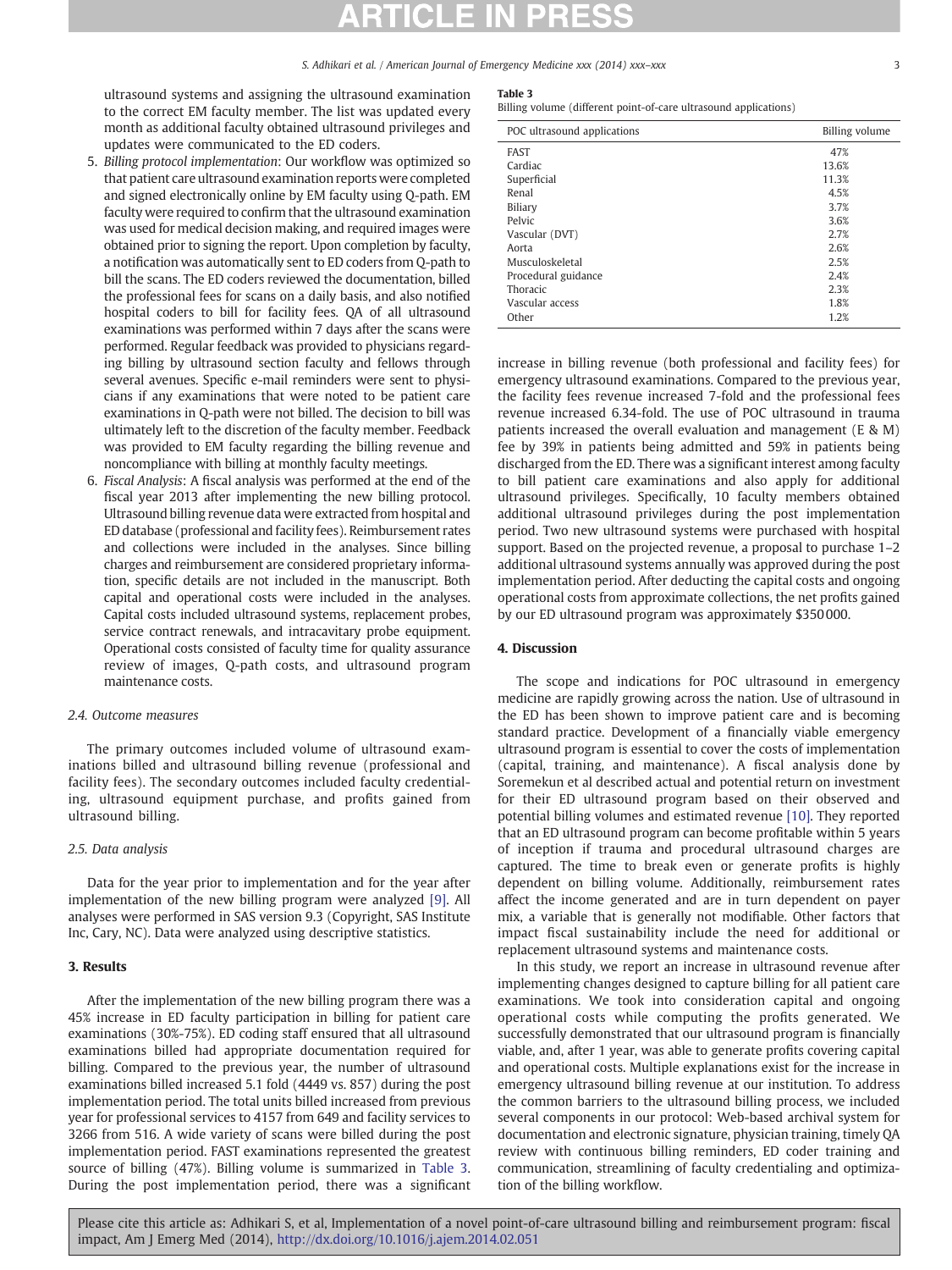S. Adhikari et al. / American Journal of Emergency Medicine xxx (2014) xxx–xxx 3

ultrasound systems and assigning the ultrasound examination to the correct EM faculty member. The list was updated every month as additional faculty obtained ultrasound privileges and updates were communicated to the ED coders.

- 5. Billing protocol implementation: Our workflow was optimized so that patient care ultrasound examination reports were completed and signed electronically online by EM faculty using Q-path. EM faculty were required to confirm that the ultrasound examination was used for medical decision making, and required images were obtained prior to signing the report. Upon completion by faculty, a notification was automatically sent to ED coders from Q-path to bill the scans. The ED coders reviewed the documentation, billed the professional fees for scans on a daily basis, and also notified hospital coders to bill for facility fees. QA of all ultrasound examinations was performed within 7 days after the scans were performed. Regular feedback was provided to physicians regarding billing by ultrasound section faculty and fellows through several avenues. Specific e-mail reminders were sent to physicians if any examinations that were noted to be patient care examinations in Q-path were not billed. The decision to bill was ultimately left to the discretion of the faculty member. Feedback was provided to EM faculty regarding the billing revenue and noncompliance with billing at monthly faculty meetings.
- 6. Fiscal Analysis: A fiscal analysis was performed at the end of the fiscal year 2013 after implementing the new billing protocol. Ultrasound billing revenue data were extracted from hospital and ED database (professional and facility fees). Reimbursement rates and collections were included in the analyses. Since billing charges and reimbursement are considered proprietary information, specific details are not included in the manuscript. Both capital and operational costs were included in the analyses. Capital costs included ultrasound systems, replacement probes, service contract renewals, and intracavitary probe equipment. Operational costs consisted of faculty time for quality assurance review of images, Q-path costs, and ultrasound program maintenance costs.

### 2.4. Outcome measures

The primary outcomes included volume of ultrasound examinations billed and ultrasound billing revenue (professional and facility fees). The secondary outcomes included faculty credentialing, ultrasound equipment purchase, and profits gained from ultrasound billing.

### 2.5. Data analysis

Data for the year prior to implementation and for the year after implementation of the new billing program were analyzed [\[9\]](#page-3-0). All analyses were performed in SAS version 9.3 (Copyright, SAS Institute Inc, Cary, NC). Data were analyzed using descriptive statistics.

### 3. Results

After the implementation of the new billing program there was a 45% increase in ED faculty participation in billing for patient care examinations (30%-75%). ED coding staff ensured that all ultrasound examinations billed had appropriate documentation required for billing. Compared to the previous year, the number of ultrasound examinations billed increased 5.1 fold (4449 vs. 857) during the post implementation period. The total units billed increased from previous year for professional services to 4157 from 649 and facility services to 3266 from 516. A wide variety of scans were billed during the post implementation period. FAST examinations represented the greatest source of billing (47%). Billing volume is summarized in Table 3. During the post implementation period, there was a significant

### Table 3

Billing volume (different point-of-care ultrasound applications)

| POC ultrasound applications | Billing volume |  |  |
|-----------------------------|----------------|--|--|
| <b>FAST</b>                 | 47%            |  |  |
| Cardiac                     | 13.6%          |  |  |
| Superficial                 | 11.3%          |  |  |
| Renal                       | 4.5%           |  |  |
| Biliary                     | 3.7%           |  |  |
| Pelvic                      | 3.6%           |  |  |
| Vascular (DVT)              | 2.7%           |  |  |
| Aorta                       | 2.6%           |  |  |
| Musculoskeletal             | 2.5%           |  |  |
| Procedural guidance         | 2.4%           |  |  |
| <b>Thoracic</b>             | 2.3%           |  |  |
| Vascular access             | 1.8%           |  |  |
| Other                       | 1.2%           |  |  |

increase in billing revenue (both professional and facility fees) for emergency ultrasound examinations. Compared to the previous year, the facility fees revenue increased 7-fold and the professional fees revenue increased 6.34-fold. The use of POC ultrasound in trauma patients increased the overall evaluation and management (E & M) fee by 39% in patients being admitted and 59% in patients being discharged from the ED. There was a significant interest among faculty to bill patient care examinations and also apply for additional ultrasound privileges. Specifically, 10 faculty members obtained additional ultrasound privileges during the post implementation period. Two new ultrasound systems were purchased with hospital support. Based on the projected revenue, a proposal to purchase 1–2 additional ultrasound systems annually was approved during the post implementation period. After deducting the capital costs and ongoing operational costs from approximate collections, the net profits gained by our ED ultrasound program was approximately \$350 000.

### 4. Discussion

The scope and indications for POC ultrasound in emergency medicine are rapidly growing across the nation. Use of ultrasound in the ED has been shown to improve patient care and is becoming standard practice. Development of a financially viable emergency ultrasound program is essential to cover the costs of implementation (capital, training, and maintenance). A fiscal analysis done by Soremekun et al described actual and potential return on investment for their ED ultrasound program based on their observed and potential billing volumes and estimated revenue [\[10\].](#page-3-0) They reported that an ED ultrasound program can become profitable within 5 years of inception if trauma and procedural ultrasound charges are captured. The time to break even or generate profits is highly dependent on billing volume. Additionally, reimbursement rates affect the income generated and are in turn dependent on payer mix, a variable that is generally not modifiable. Other factors that impact fiscal sustainability include the need for additional or replacement ultrasound systems and maintenance costs.

In this study, we report an increase in ultrasound revenue after implementing changes designed to capture billing for all patient care examinations. We took into consideration capital and ongoing operational costs while computing the profits generated. We successfully demonstrated that our ultrasound program is financially viable, and, after 1 year, was able to generate profits covering capital and operational costs. Multiple explanations exist for the increase in emergency ultrasound billing revenue at our institution. To address the common barriers to the ultrasound billing process, we included several components in our protocol: Web-based archival system for documentation and electronic signature, physician training, timely QA review with continuous billing reminders, ED coder training and communication, streamlining of faculty credentialing and optimization of the billing workflow.

Please cite this article as: Adhikari S, et al, Implementation of a novel point-of-care ultrasound billing and reimbursement program: fiscal impact, Am J Emerg Med (2014), <http://dx.doi.org/10.1016/j.ajem.2014.02.051>